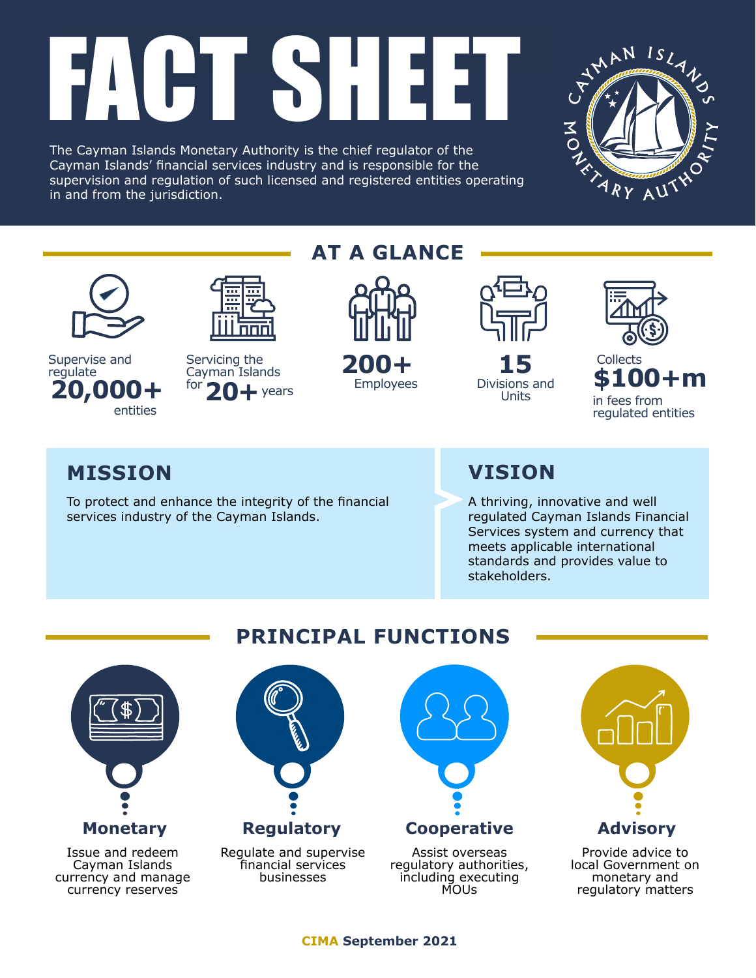# FACH ESHIET

The Cayman Islands Monetary Authority is the chief regulator of the Cayman Islands' financial services industry and is responsible for the supervision and regulation of such licensed and registered entities operating in and from the jurisdiction.





**20,000+** <sup>for</sup> 20+ years Employees Divisions and Supervise and Servicing the 200+ 15 Collects regulate entities

Servicing the **200+** 15 20+ years

# **AT A GLANCE**



Employees



Units



**200+ \$100+m** in fees from regulated entities

regulatory matters

# **MISSION VISION**

To protect and enhance the integrity of the financial services industry of the Cayman Islands.

A thriving, innovative and well regulated Cayman Islands Financial Services system and currency that meets applicable international standards and provides value to stakeholders.



Issue and redeem Cayman Islands currency and manage currency reserves

# **PRINCIPAL FUNCTIONS**



MOUs

**CIMA September 2021**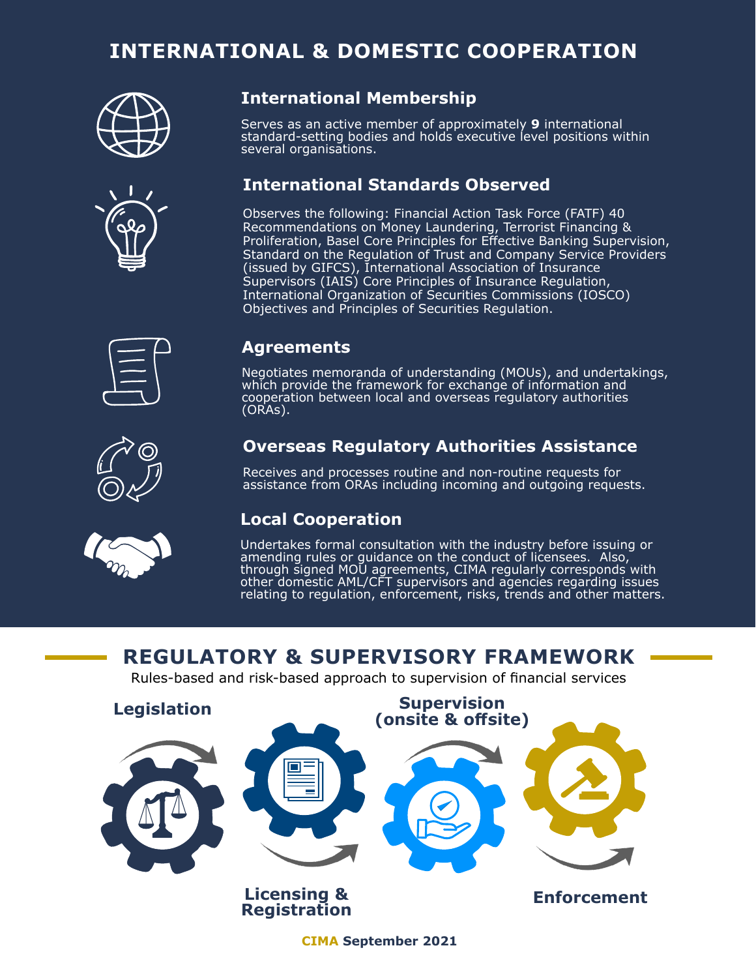# **INTERNATIONAL & DOMESTIC COOPERATION**





#### **International Membership**

Serves as an active member of approximately **9** international standard-setting bodies and holds executive level positions within several organisations.

### **International Standards Observed**

Observes the following: Financial Action Task Force (FATF) 40 Recommendations on Money Laundering, Terrorist Financing & Proliferation, Basel Core Principles for Effective Banking Supervision, Standard on the Regulation of Trust and Company Service Providers (issued by GIFCS), International Association of Insurance Supervisors (IAIS) Core Principles of Insurance Regulation, International Organization of Securities Commissions (IOSCO) Objectives and Principles of Securities Regulation.



#### **Agreements**

Negotiates memoranda of understanding (MOUs), and undertakings, which provide the framework for exchange of information and cooperation between local and overseas regulatory authorities (ORAs).

## **Overseas Regulatory Authorities Assistance**

Receives and processes routine and non-routine requests for assistance from ORAs including incoming and outgoing requests.

#### **Local Cooperation**

Undertakes formal consultation with the industry before issuing or amending rules or guidance on the conduct of licensees. Also, through signed MOU agreements, CIMA regularly corresponds with other domestic AML/CFT supervisors and agencies regarding issues relating to regulation, enforcement, risks, trends and other matters.

# **REGULATORY & SUPERVISORY FRAMEWORK**

Rules-based and risk-based approach to supervision of financial services



**CIMA September 2021**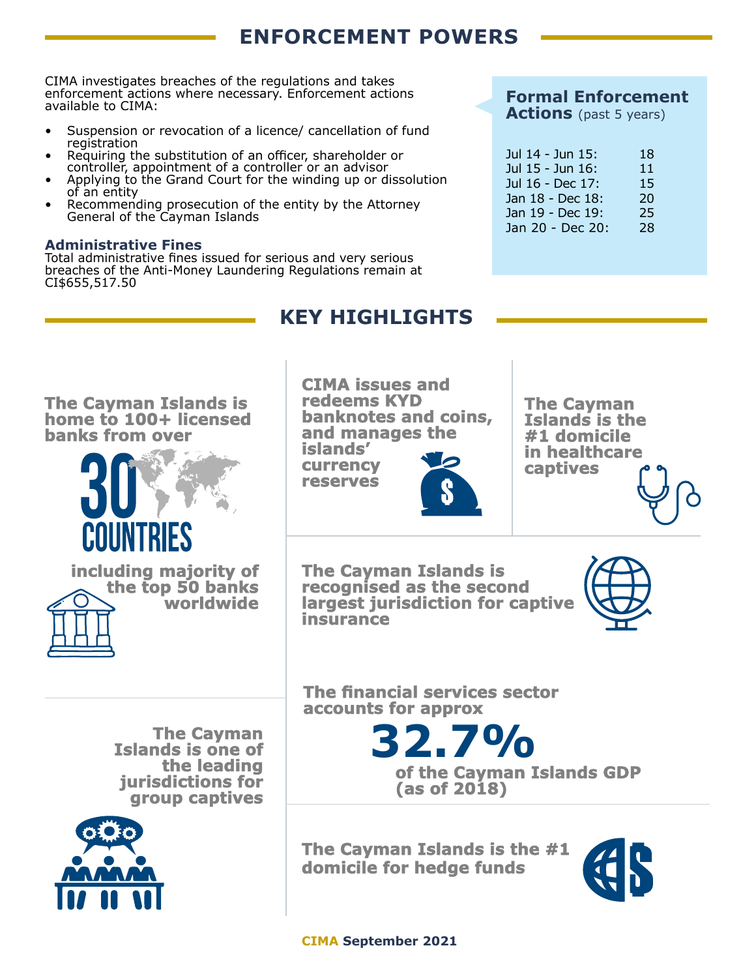# **ENFORCEMENT POWERS**

CIMA investigates breaches of the regulations and takes enforcement actions where necessary. Enforcement actions available to CIMA:

- Suspension or revocation of a licence/ cancellation of fund registration
- Requiring the substitution of an officer, shareholder or controller, appointment of a controller or an advisor
- Applying to the Grand Court for the winding up or dissolution of an entity
- Recommending prosecution of the entity by the Attorney General of the Cayman Islands

#### **Administrative Fines**

Total administrative fines issued for serious and very serious breaches of the Anti-Money Laundering Regulations remain at CI\$655,517.50

## **Formal Enforcement**

**Actions** (past 5 years)

| Jul 14 - Jun 15: | 18 |
|------------------|----|
| Jul 15 - Jun 16: | 11 |
| Jul 16 - Dec 17: | 15 |
| Jan 18 - Dec 18: | 20 |
| Jan 19 - Dec 19: | 25 |
| Jan 20 - Dec 20: | 28 |

# **KEY HIGHLIGHTS**

**The Cayman Islands is home to 100+ licensed banks from over**





**CIMA issues and redeems KYD banknotes and coins, and manages the**

**islands' currency reserves**



**The Cayman Islands is the #1 domicile in healthcare captives**

**The Cayman Islands is recognised as the second largest jurisdiction for captive insurance**



**The Cayman Islands is one of the leading jurisdictions for group captives**



**The financial services sector accounts for approx**

> **32.7% of the Cayman Islands GDP (as of 2018)**

**The Cayman Islands is the #1 domicile for hedge funds**